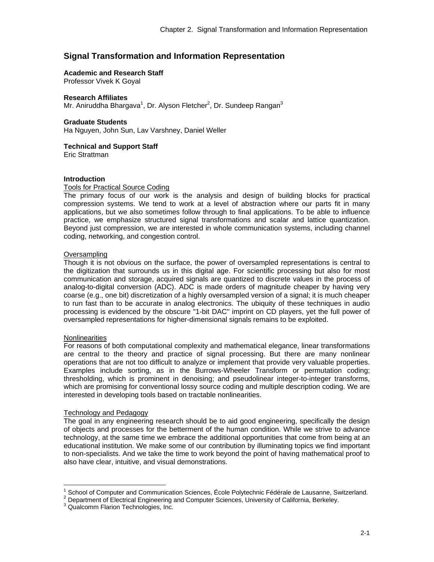# **Signal Transformation and Information Representation**

### **Academic and Research Staff**

Professor Vivek K Goyal

### **Research Affiliates**

Mr. Aniruddha Bhargava<sup>1</sup>, Dr. Alyson Fletcher<sup>2</sup>, Dr. Sundeep Rangan<sup>3</sup>

#### **Graduate Students**

Ha Nguyen, John Sun, Lav Varshney, Daniel Weller

**Technical and Support Staff** 

Eric Strattman

### **Introduction**

### Tools for Practical Source Coding

The primary focus of our work is the analysis and design of building blocks for practical compression systems. We tend to work at a level of abstraction where our parts fit in many applications, but we also sometimes follow through to final applications. To be able to influence practice, we emphasize structured signal transformations and scalar and lattice quantization. Beyond just compression, we are interested in whole communication systems, including channel coding, networking, and congestion control.

### **Oversampling**

Though it is not obvious on the surface, the power of oversampled representations is central to the digitization that surrounds us in this digital age. For scientific processing but also for most communication and storage, acquired signals are quantized to discrete values in the process of analog-to-digital conversion (ADC). ADC is made orders of magnitude cheaper by having very coarse (e.g., one bit) discretization of a highly oversampled version of a signal; it is much cheaper to run fast than to be accurate in analog electronics. The ubiquity of these techniques in audio processing is evidenced by the obscure "1-bit DAC'' imprint on CD players, yet the full power of oversampled representations for higher-dimensional signals remains to be exploited.

# **Nonlinearities**

 $\overline{a}$ 

For reasons of both computational complexity and mathematical elegance, linear transformations are central to the theory and practice of signal processing. But there are many nonlinear operations that are not too difficult to analyze or implement that provide very valuable properties. Examples include sorting, as in the Burrows-Wheeler Transform or permutation coding; thresholding, which is prominent in denoising; and pseudolinear integer-to-integer transforms, which are promising for conventional lossy source coding and multiple description coding. We are interested in developing tools based on tractable nonlinearities.

#### Technology and Pedagogy

The goal in any engineering research should be to aid good engineering, specifically the design of objects and processes for the betterment of the human condition. While we strive to advance technology, at the same time we embrace the additional opportunities that come from being at an educational institution. We make some of our contribution by illuminating topics we find important to non-specialists. And we take the time to work beyond the point of having mathematical proof to also have clear, intuitive, and visual demonstrations.

 $2$  Department of Electrical Engineering and Computer Sciences, University of California, Berkeley.

<sup>1</sup> School of Computer and Communication Sciences, École Polytechnic Fédérale de Lausanne, Switzerland. 2

<sup>&</sup>lt;sup>3</sup> Qualcomm Flarion Technologies, Inc.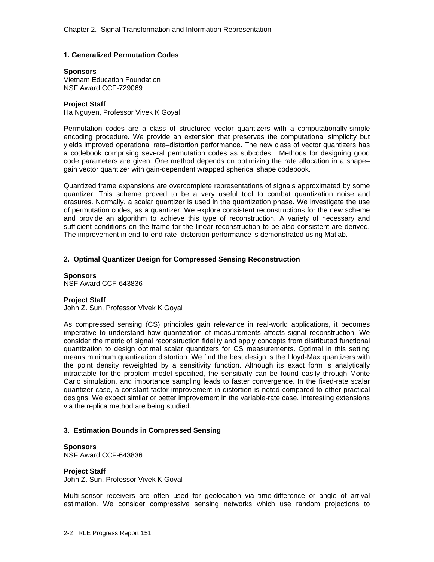# **1. Generalized Permutation Codes**

#### **Sponsors**

Vietnam Education Foundation NSF Award CCF-729069

### **Project Staff**

Ha Nguyen, Professor Vivek K Goyal

Permutation codes are a class of structured vector quantizers with a computationally-simple encoding procedure. We provide an extension that preserves the computational simplicity but yields improved operational rate–distortion performance. The new class of vector quantizers has a codebook comprising several permutation codes as subcodes. Methods for designing good code parameters are given. One method depends on optimizing the rate allocation in a shape– gain vector quantizer with gain-dependent wrapped spherical shape codebook.

Quantized frame expansions are overcomplete representations of signals approximated by some quantizer. This scheme proved to be a very useful tool to combat quantization noise and erasures. Normally, a scalar quantizer is used in the quantization phase. We investigate the use of permutation codes, as a quantizer. We explore consistent reconstructions for the new scheme and provide an algorithm to achieve this type of reconstruction. A variety of necessary and sufficient conditions on the frame for the linear reconstruction to be also consistent are derived. The improvement in end-to-end rate–distortion performance is demonstrated using Matlab.

# **2. Optimal Quantizer Design for Compressed Sensing Reconstruction**

**Sponsors**  NSF Award CCF-643836

# **Project Staff**

John Z. Sun, Professor Vivek K Goyal

As compressed sensing (CS) principles gain relevance in real-world applications, it becomes imperative to understand how quantization of measurements affects signal reconstruction. We consider the metric of signal reconstruction fidelity and apply concepts from distributed functional quantization to design optimal scalar quantizers for CS measurements. Optimal in this setting means minimum quantization distortion. We find the best design is the Lloyd-Max quantizers with the point density reweighted by a sensitivity function. Although its exact form is analytically intractable for the problem model specified, the sensitivity can be found easily through Monte Carlo simulation, and importance sampling leads to faster convergence. In the fixed-rate scalar quantizer case, a constant factor improvement in distortion is noted compared to other practical designs. We expect similar or better improvement in the variable-rate case. Interesting extensions via the replica method are being studied.

# **3. Estimation Bounds in Compressed Sensing**

# **Sponsors**

NSF Award CCF-643836

#### **Project Staff**

John Z. Sun, Professor Vivek K Goyal

Multi-sensor receivers are often used for geolocation via time-difference or angle of arrival estimation. We consider compressive sensing networks which use random projections to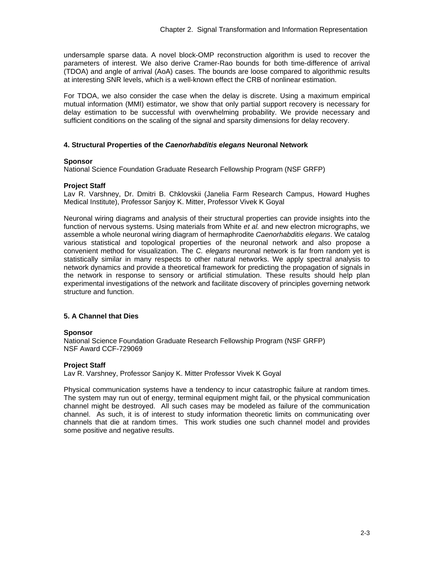undersample sparse data. A novel block-OMP reconstruction algorithm is used to recover the parameters of interest. We also derive Cramer-Rao bounds for both time-difference of arrival (TDOA) and angle of arrival (AoA) cases. The bounds are loose compared to algorithmic results at interesting SNR levels, which is a well-known effect the CRB of nonlinear estimation.

For TDOA, we also consider the case when the delay is discrete. Using a maximum empirical mutual information (MMI) estimator, we show that only partial support recovery is necessary for delay estimation to be successful with overwhelming probability. We provide necessary and sufficient conditions on the scaling of the signal and sparsity dimensions for delay recovery.

# **4. Structural Properties of the** *Caenorhabditis elegans* **Neuronal Network**

### **Sponsor**

National Science Foundation Graduate Research Fellowship Program (NSF GRFP)

# **Project Staff**

Lav R. Varshney, Dr. Dmitri B. Chklovskii (Janelia Farm Research Campus, Howard Hughes Medical Institute), Professor Sanjoy K. Mitter, Professor Vivek K Goyal

Neuronal wiring diagrams and analysis of their structural properties can provide insights into the function of nervous systems. Using materials from White *et al.* and new electron micrographs, we assemble a whole neuronal wiring diagram of hermaphrodite *Caenorhabditis elegans*. We catalog various statistical and topological properties of the neuronal network and also propose a convenient method for visualization. The *C. elegans* neuronal network is far from random yet is statistically similar in many respects to other natural networks. We apply spectral analysis to network dynamics and provide a theoretical framework for predicting the propagation of signals in the network in response to sensory or artificial stimulation. These results should help plan experimental investigations of the network and facilitate discovery of principles governing network structure and function.

# **5. A Channel that Dies**

# **Sponsor**

National Science Foundation Graduate Research Fellowship Program (NSF GRFP) NSF Award CCF-729069

# **Project Staff**

Lav R. Varshney, Professor Sanjoy K. Mitter Professor Vivek K Goyal

Physical communication systems have a tendency to incur catastrophic failure at random times. The system may run out of energy, terminal equipment might fail, or the physical communication channel might be destroyed. All such cases may be modeled as failure of the communication channel. As such, it is of interest to study information theoretic limits on communicating over channels that die at random times. This work studies one such channel model and provides some positive and negative results.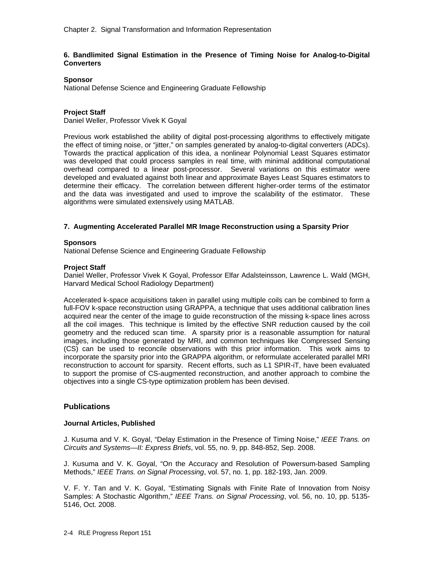# **6. Bandlimited Signal Estimation in the Presence of Timing Noise for Analog-to-Digital Converters**

# **Sponsor**

National Defense Science and Engineering Graduate Fellowship

# **Project Staff**

Daniel Weller, Professor Vivek K Goyal

Previous work established the ability of digital post-processing algorithms to effectively mitigate the effect of timing noise, or "jitter," on samples generated by analog-to-digital converters (ADCs). Towards the practical application of this idea, a nonlinear Polynomial Least Squares estimator was developed that could process samples in real time, with minimal additional computational overhead compared to a linear post-processor. Several variations on this estimator were developed and evaluated against both linear and approximate Bayes Least Squares estimators to determine their efficacy. The correlation between different higher-order terms of the estimator and the data was investigated and used to improve the scalability of the estimator. These algorithms were simulated extensively using MATLAB.

# **7. Augmenting Accelerated Parallel MR Image Reconstruction using a Sparsity Prior**

### **Sponsors**

National Defense Science and Engineering Graduate Fellowship

# **Project Staff**

Daniel Weller, Professor Vivek K Goyal, Professor Elfar Adalsteinsson, Lawrence L. Wald (MGH, Harvard Medical School Radiology Department)

Accelerated k-space acquisitions taken in parallel using multiple coils can be combined to form a full-FOV k-space reconstruction using GRAPPA, a technique that uses additional calibration lines acquired near the center of the image to guide reconstruction of the missing k-space lines across all the coil images. This technique is limited by the effective SNR reduction caused by the coil geometry and the reduced scan time. A sparsity prior is a reasonable assumption for natural images, including those generated by MRI, and common techniques like Compressed Sensing (CS) can be used to reconcile observations with this prior information. This work aims to incorporate the sparsity prior into the GRAPPA algorithm, or reformulate accelerated parallel MRI reconstruction to account for sparsity. Recent efforts, such as L1 SPIR-iT, have been evaluated to support the promise of CS-augmented reconstruction, and another approach to combine the objectives into a single CS-type optimization problem has been devised.

# **Publications**

# **Journal Articles, Published**

J. Kusuma and V. K. Goyal, "Delay Estimation in the Presence of Timing Noise," *IEEE Trans. on Circuits and Systems—II: Express Briefs*, vol. 55, no. 9, pp. 848-852, Sep. 2008.

J. Kusuma and V. K. Goyal, "On the Accuracy and Resolution of Powersum-based Sampling Methods," *IEEE Trans. on Signal Processing*, vol. 57, no. 1, pp. 182-193, Jan. 2009.

V. F. Y. Tan and V. K. Goyal, "Estimating Signals with Finite Rate of Innovation from Noisy Samples: A Stochastic Algorithm," *IEEE Trans. on Signal Processing*, vol. 56, no. 10, pp. 5135- 5146, Oct. 2008.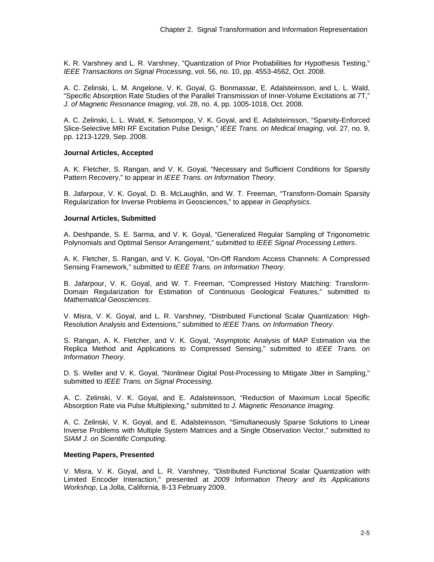K. R. Varshney and L. R. Varshney, "Quantization of Prior Probabilities for Hypothesis Testing," *IEEE Transactions on Signal Processing*, vol. 56, no. 10, pp. 4553-4562, Oct. 2008.

A. C. Zelinski, L. M. Angelone, V. K. Goyal, G. Bonmassar, E. Adalsteinsson, and L. L. Wald, "Specific Absorption Rate Studies of the Parallel Transmission of Inner-Volume Excitations at 7T," *J. of Magnetic Resonance Imaging*, vol. 28, no. 4, pp. 1005-1018, Oct. 2008.

A. C. Zelinski, L. L. Wald, K. Setsompop, V. K. Goyal, and E. Adalsteinsson, "Sparsity-Enforced Slice-Selective MRI RF Excitation Pulse Design," *IEEE Trans. on Medical Imaging*, vol. 27, no. 9, pp. 1213-1229, Sep. 2008.

### **Journal Articles, Accepted**

A. K. Fletcher, S. Rangan, and V. K. Goyal, "Necessary and Sufficient Conditions for Sparsity Pattern Recovery," to appear in *IEEE Trans. on Information Theory*.

B. Jafarpour, V. K. Goyal, D. B. McLaughlin, and W. T. Freeman, "Transform-Domain Sparsity Regularization for Inverse Problems in Geosciences," to appear in *Geophysics*.

### **Journal Articles, Submitted**

A. Deshpande, S. E. Sarma, and V. K. Goyal, "Generalized Regular Sampling of Trigonometric Polynomials and Optimal Sensor Arrangement," submitted to *IEEE Signal Processing Letters*.

A. K. Fletcher, S. Rangan, and V. K. Goyal, "On-Off Random Access Channels: A Compressed Sensing Framework," submitted to *IEEE Trans. on Information Theory*.

B. Jafarpour, V. K. Goyal, and W. T. Freeman, "Compressed History Matching: Transform-Domain Regularization for Estimation of Continuous Geological Features," submitted to *Mathematical Geosciences*.

V. Misra, V. K. Goyal, and L. R. Varshney, "Distributed Functional Scalar Quantization: High-Resolution Analysis and Extensions," submitted to *IEEE Trans. on Information Theory*.

S. Rangan, A. K. Fletcher, and V. K. Goyal, "Asymptotic Analysis of MAP Estimation via the Replica Method and Applications to Compressed Sensing," submitted to *IEEE Trans. on Information Theory*.

D. S. Weller and V. K. Goyal, "Nonlinear Digital Post-Processing to Mitigate Jitter in Sampling," submitted to *IEEE Trans. on Signal Processing*.

A. C. Zelinski, V. K. Goyal, and E. Adalsteinsson, "Reduction of Maximum Local Specific Absorption Rate via Pulse Multiplexing," submitted to *J. Magnetic Resonance Imaging*.

A. C. Zelinski, V. K. Goyal, and E. Adalsteinsson, "Simultaneously Sparse Solutions to Linear Inverse Problems with Multiple System Matrices and a Single Observation Vector," submitted to *SIAM J. on Scientific Computing*.

# **Meeting Papers, Presented**

V. Misra, V. K. Goyal, and L. R. Varshney, "Distributed Functional Scalar Quantization with Limited Encoder Interaction," presented at *2009 Information Theory and its Applications Workshop*, La Jolla, California, 8-13 February 2009.